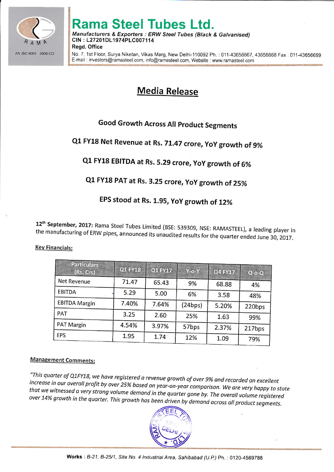

# **Rama Steel Tubes Ltd.**

Manufacturers & Exporters : ERW Steel Tubes (Black & Galvanised) CIN: L27201DL1974PLC007114 **Read. Office** 

No. 7. 1st Floor, Surya Niketan, Vikas Marg, New Delhi-110092 Ph. : 011-43656667, 43656668 Fax : 011-43656699 E-mail: investors@ramasteel.com, info@ramasteel.com, Website: www.ramasteel.com

### **Media Release**

### **Good Growth Across All Product Segments**

# Q1 FY18 Net Revenue at Rs. 71.47 crore, YoY growth of 9%

## Q1 FY18 EBITDA at Rs. 5.29 crore, YoY growth of 6%

### Q1 FY18 PAT at Rs. 3.25 crore, YoY growth of 25%

### EPS stood at Rs. 1.95, YoY growth of 12%

12<sup>th</sup> September, 2017: Rama Steel Tubes Limited (BSE: 539309, NSE: RAMASTEEL), a leading player in the manufacturing of ERW pipes, announced its unaudited results for the quarter ended June 30, 2017.

| <b>Particulars</b><br>(Rs. Crs) | <b>Q1 FY18</b> | Q1 FY17 | Y-o-Y   | <b>Q4 FY17</b> | $Q - O - Q$ |
|---------------------------------|----------------|---------|---------|----------------|-------------|
| Net Revenue                     | 71.47          | 65.43   | 9%      | 68.88          | 4%          |
| EBITDA                          | 5.29           | 5.00    | 6%      | 3.58           | 48%         |
| <b>EBITDA Margin</b>            | 7.40%          | 7.64%   | (24bps) | 5.20%          | 220bps      |
| <b>PAT</b>                      | 3.25           | 2.60    | 25%     | 1.63           | 99%         |
| PAT Margin                      | 4.54%          | 3.97%   | 57bps   | 2.37%          | 217bps      |
| <b>EPS</b>                      | 1.95           | 1.74    | 12%     | 1.09           | 79%         |

**Key Financials:** 

#### **Management Comments:**

"This quarter of Q1FY18, we have registered a revenue growth of over 9% and recorded an excellent increase in our overall profit by over 25% based on year-on-year comparison. We are very happy to state that we witnessed a very strong volume demand in the quarter gone by. The overall volume registered over 14% growth in the quarter. This growth has been driven by demand across all product segments.

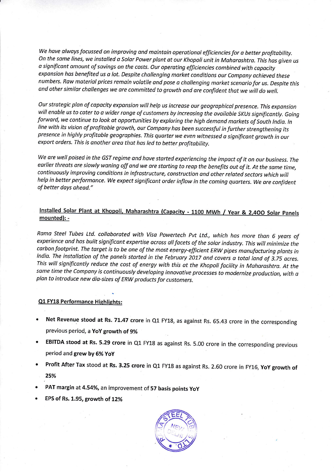We have always focussed on improving and maintain operational efficiencies for a better profitability. On the same lines, we installed a Solar Power plant at our Khopoli unit in Maharashtra. This has given us a significant amount of savings on the costs. Our operating efficiencies combined with capacity expansion has benefited us a lot. Despite challenging market conditions our Company achieved these numbers. Raw material prices remain volatile and pose a challenging market scenario for us. Despite this and other similar challenges we are committed to growth and are confident that we will do well.

Our strategic plan of capacity expansion will help us increase our geographical presence. This expansion will enable us to cater to a wider range of customers by increasing the available SKUs significantly. Going forward, we continue to look at opportunities by exploring the high demand markets of South India. In line with its vision of profitoble growth, our Compony hos been successfut in further strengthening its presence in highly profitoble geographies. This quarter we even witnessed a significont growth in our export orders. This is another area that has led to better profitability.

We are well poised in the GST regime and have started experiencing the impact of it on our business. The earlier threats are slowly waning off and we are starting to reap the benefits out of it. At the same time, continuously improving conditions in infrastructure, construction and other related sectors which will help in better performance. We expect significant order inflow in the coming quarters. We are confident of better days oheod."

#### Installed Solar Plant at Khopoli, Maharashtra (Capacity - 1100 MWh / Year & 2,400 Solar Panels mounted): -

Rama Steel Tubes Ltd. collaborated with Visa Powertech Pvt Ltd., which has more than 6 years of experience and has built significant expertise across all facets of the solar industry. This will minimize the carbon footprint. The target is to be one of the most energy-efficient ERW pipes manufacturing plants in India. The installation of the panels started in the February 2017 and covers a total land of 3.75 acres. This will significantly reduce the cost of energy with this at the Khopoli facility in Maharashtra. At the same time the Company is continuously developing innovative processes to modernize production, with a plan to introduce new dia-sizes of ERW products for customers.

#### Q1 FY18 Performance Highlights:

- Net Revenue stood at Rs. 71.47 crore in Q1 FY18, as against Rs. 65.43 crore in the corresponding previous period, a YoY growth of 9%
- EBITDA stood at Rs. 5.29 crore in Q1 FY18 as against Rs. 5.00 crore in the corresponding previous period and grew by 6% YoY
- Profit After Tax stood at Rs. 3.25 crore in Q1 FY18 as against Rs. 2.60 crore in FY16, YoY growth of 25%
- PAT margin at 4.54%, an improvement of 57 basis points yoy
- . EPS of Rs. 1.95, growth of 12%